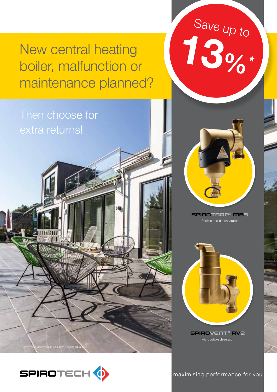## New central heating boiler, malfunction or maintenance planned?

### Then choose for extra returns!





Save up to

13%\*

Particle and dirt separator



maximising performance maximising performance for you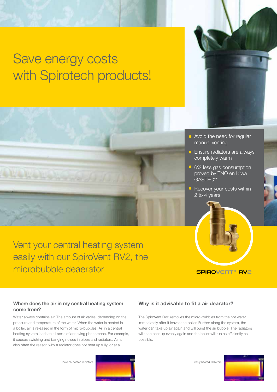# Save energy costs with Spirotech products!





- Avoid the need for regular manual venting
- **•** Ensure radiators are always completely warm
- 6% less gas consumption proved by TNO en Kiwa GASTEC\*\*
- Recover your costs within 2 to 4 years

SPIROVENT® RV2

Vent your central heating system easily with our SpiroVent RV2, the microbubble deaerator

Where does the air in my central heating system come from?

Water always contains air. The amount of air varies, depending on the pressure and temperature of the water. When the water is heated in a boiler, air is released in the form of micro-bubbles. Air in a central heating system leads to all sorts of annoying phenomena. For example, it causes swishing and banging noises in pipes and radiators. Air is also often the reason why a radiator does not heat up fully, or at all.

#### Why is it advisable to fit a air dearator?

The SpiroVent RV2 removes the micro-bubbles from the hot water immediately after it leaves the boiler. Further along the system, the water can take up air again and will burst the air bubble. The radiators will then heat up evenly again and the boiler will run as efficiently as possible.

Unevenly heated radiators



Evenly heated radiators

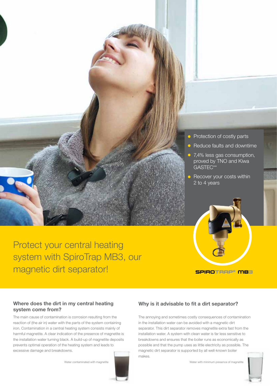

Protect your central heating system with SpiroTrap MB3, our magnetic dirt separator!

SPIROTRAP® MB3

#### Where does the dirt in my central heating system come from?

The main cause of contamination is corrosion resulting from the reaction of (the air in) water with the parts of the system containing iron. Contamination in a central heating system consists mainly of harmful magnetite. A clear indication of the presence of magnetite is the installation water turning black. A build-up of magnetite deposits prevents optimal operation of the heating system and leads to excessive damage and breakdowns.



### Why is it advisable to fit a dirt separator?

The annoying and sometimes costly consequences of contamination in the installation water can be avoided with a magnetic dirt separator. This dirt separator removes magnetite extra fast from the installation water. A system with clean water is far less sensitive to breakdowns and ensures that the boiler runs as economically as possible and that the pump uses as little electricity as possible. The magnetic dirt separator is supported by all well-known boiler makes.

Water with minimum presence of magnetite



Water contaminated with magnetite